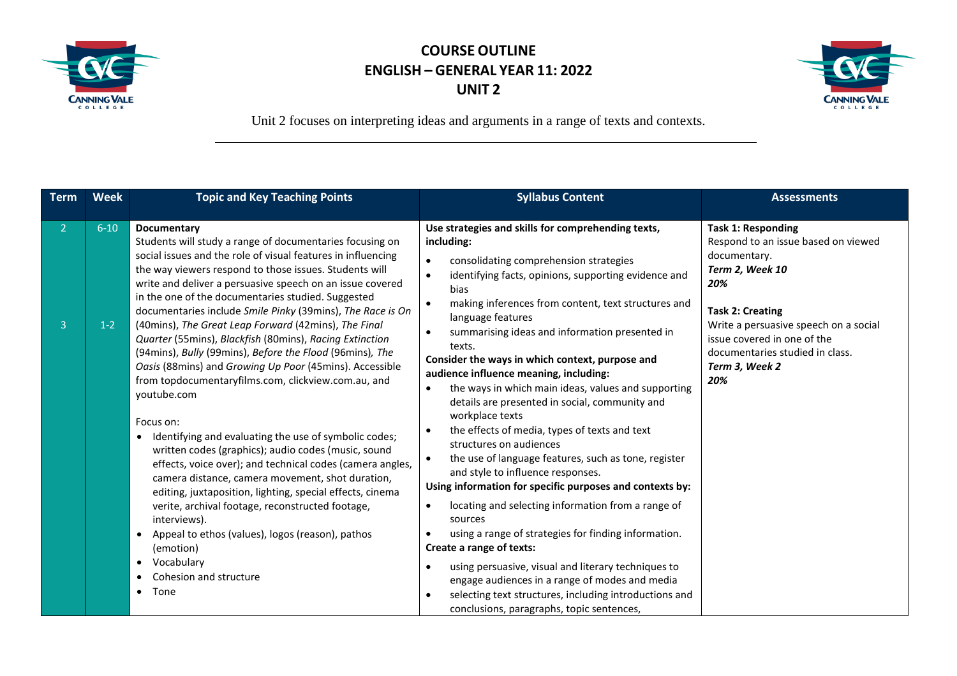



| <b>Term</b>                      | <b>Week</b>       | <b>Topic and Key Teaching Points</b>                                                                                                                                                                                                                                                                                                                                                                                                                                                                                                                                                                                                                                                                                                                                                                                                                                                                                                                                                                                                                                                                                                                                         | <b>Syllabus Content</b>                                                                                                                                                                                                                                                                                                                                                                                                                                                                                                                                                                                                                                                                                                                                                                                                                                                                                                                                                      | <b>Assessments</b>                                                                                                                                                                                                                                                        |
|----------------------------------|-------------------|------------------------------------------------------------------------------------------------------------------------------------------------------------------------------------------------------------------------------------------------------------------------------------------------------------------------------------------------------------------------------------------------------------------------------------------------------------------------------------------------------------------------------------------------------------------------------------------------------------------------------------------------------------------------------------------------------------------------------------------------------------------------------------------------------------------------------------------------------------------------------------------------------------------------------------------------------------------------------------------------------------------------------------------------------------------------------------------------------------------------------------------------------------------------------|------------------------------------------------------------------------------------------------------------------------------------------------------------------------------------------------------------------------------------------------------------------------------------------------------------------------------------------------------------------------------------------------------------------------------------------------------------------------------------------------------------------------------------------------------------------------------------------------------------------------------------------------------------------------------------------------------------------------------------------------------------------------------------------------------------------------------------------------------------------------------------------------------------------------------------------------------------------------------|---------------------------------------------------------------------------------------------------------------------------------------------------------------------------------------------------------------------------------------------------------------------------|
| $\overline{2}$<br>$\overline{3}$ | $6 - 10$<br>$1-2$ | Documentary<br>Students will study a range of documentaries focusing on<br>social issues and the role of visual features in influencing<br>the way viewers respond to those issues. Students will<br>write and deliver a persuasive speech on an issue covered<br>in the one of the documentaries studied. Suggested<br>documentaries include Smile Pinky (39mins), The Race is On<br>(40mins), The Great Leap Forward (42mins), The Final<br>Quarter (55mins), Blackfish (80mins), Racing Extinction<br>(94mins), Bully (99mins), Before the Flood (96mins), The<br>Oasis (88mins) and Growing Up Poor (45mins). Accessible<br>from topdocumentaryfilms.com, clickview.com.au, and<br>voutube.com<br>Focus on:<br>Identifying and evaluating the use of symbolic codes;<br>$\bullet$<br>written codes (graphics); audio codes (music, sound<br>effects, voice over); and technical codes (camera angles,<br>camera distance, camera movement, shot duration,<br>editing, juxtaposition, lighting, special effects, cinema<br>verite, archival footage, reconstructed footage,<br>interviews).<br>Appeal to ethos (values), logos (reason), pathos<br>$\bullet$<br>(emotion) | Use strategies and skills for comprehending texts,<br>including:<br>consolidating comprehension strategies<br>$\bullet$<br>identifying facts, opinions, supporting evidence and<br>$\bullet$<br>bias<br>making inferences from content, text structures and<br>language features<br>summarising ideas and information presented in<br>texts.<br>Consider the ways in which context, purpose and<br>audience influence meaning, including:<br>the ways in which main ideas, values and supporting<br>details are presented in social, community and<br>workplace texts<br>the effects of media, types of texts and text<br>$\bullet$<br>structures on audiences<br>the use of language features, such as tone, register<br>and style to influence responses.<br>Using information for specific purposes and contexts by:<br>locating and selecting information from a range of<br>sources<br>using a range of strategies for finding information.<br>Create a range of texts: | <b>Task 1: Responding</b><br>Respond to an issue based on viewed<br>documentary.<br>Term 2, Week 10<br>20%<br><b>Task 2: Creating</b><br>Write a persuasive speech on a social<br>issue covered in one of the<br>documentaries studied in class.<br>Term 3, Week 2<br>20% |
|                                  |                   | Vocabulary<br>$\bullet$<br>Cohesion and structure<br>Tone<br>$\bullet$                                                                                                                                                                                                                                                                                                                                                                                                                                                                                                                                                                                                                                                                                                                                                                                                                                                                                                                                                                                                                                                                                                       | using persuasive, visual and literary techniques to<br>engage audiences in a range of modes and media<br>selecting text structures, including introductions and<br>conclusions, paragraphs, topic sentences,                                                                                                                                                                                                                                                                                                                                                                                                                                                                                                                                                                                                                                                                                                                                                                 |                                                                                                                                                                                                                                                                           |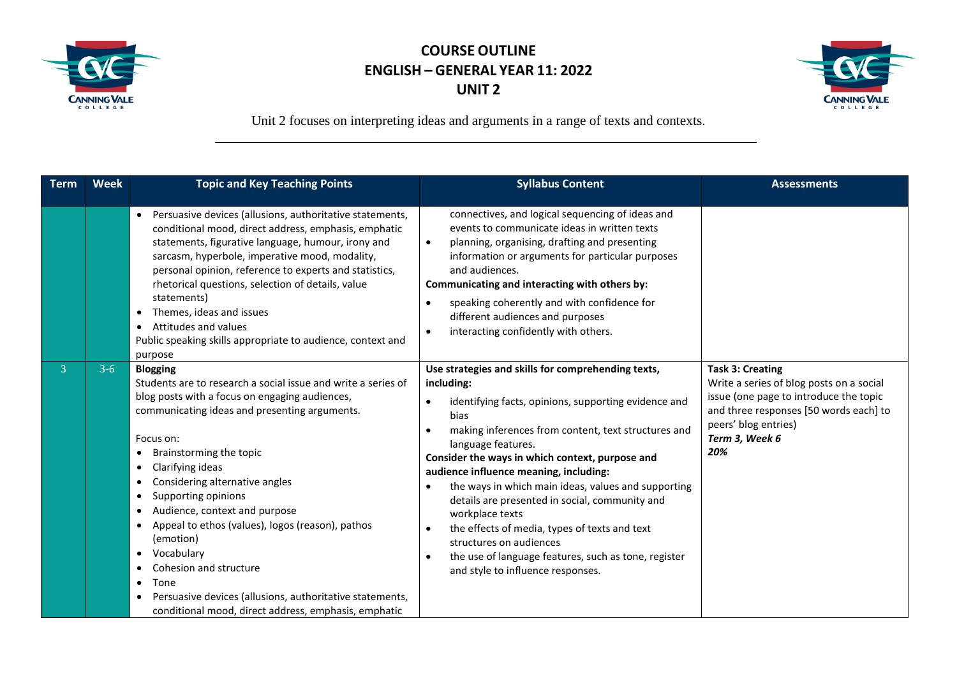



| <b>Term</b>    | <b>Week</b> | <b>Topic and Key Teaching Points</b>                                                                                                                                                                                                                                                                                                                                                                                                                                                                                                                                                                                                                                                             | <b>Syllabus Content</b>                                                                                                                                                                                                                                                                                                                                                                                                                                                                                                                                                                                                                                                          | <b>Assessments</b>                                                                                                                                                                                       |
|----------------|-------------|--------------------------------------------------------------------------------------------------------------------------------------------------------------------------------------------------------------------------------------------------------------------------------------------------------------------------------------------------------------------------------------------------------------------------------------------------------------------------------------------------------------------------------------------------------------------------------------------------------------------------------------------------------------------------------------------------|----------------------------------------------------------------------------------------------------------------------------------------------------------------------------------------------------------------------------------------------------------------------------------------------------------------------------------------------------------------------------------------------------------------------------------------------------------------------------------------------------------------------------------------------------------------------------------------------------------------------------------------------------------------------------------|----------------------------------------------------------------------------------------------------------------------------------------------------------------------------------------------------------|
|                |             | Persuasive devices (allusions, authoritative statements,<br>$\bullet$<br>conditional mood, direct address, emphasis, emphatic<br>statements, figurative language, humour, irony and<br>sarcasm, hyperbole, imperative mood, modality,<br>personal opinion, reference to experts and statistics,<br>rhetorical questions, selection of details, value<br>statements)<br>Themes, ideas and issues<br>$\bullet$<br>Attitudes and values<br>$\bullet$<br>Public speaking skills appropriate to audience, context and<br>purpose                                                                                                                                                                      | connectives, and logical sequencing of ideas and<br>events to communicate ideas in written texts<br>planning, organising, drafting and presenting<br>$\bullet$<br>information or arguments for particular purposes<br>and audiences.<br>Communicating and interacting with others by:<br>speaking coherently and with confidence for<br>$\bullet$<br>different audiences and purposes<br>interacting confidently with others.<br>$\bullet$                                                                                                                                                                                                                                       |                                                                                                                                                                                                          |
| $\overline{3}$ | $3-6$       | <b>Blogging</b><br>Students are to research a social issue and write a series of<br>blog posts with a focus on engaging audiences,<br>communicating ideas and presenting arguments.<br>Focus on:<br>Brainstorming the topic<br>٠<br>Clarifying ideas<br>$\bullet$<br>Considering alternative angles<br>$\bullet$<br>Supporting opinions<br>$\bullet$<br>Audience, context and purpose<br>$\bullet$<br>Appeal to ethos (values), logos (reason), pathos<br>$\bullet$<br>(emotion)<br>Vocabulary<br>$\bullet$<br>Cohesion and structure<br>٠<br>Tone<br>$\bullet$<br>Persuasive devices (allusions, authoritative statements,<br>$\bullet$<br>conditional mood, direct address, emphasis, emphatic | Use strategies and skills for comprehending texts,<br>including:<br>identifying facts, opinions, supporting evidence and<br>$\bullet$<br>bias<br>making inferences from content, text structures and<br>$\bullet$<br>language features.<br>Consider the ways in which context, purpose and<br>audience influence meaning, including:<br>the ways in which main ideas, values and supporting<br>$\bullet$<br>details are presented in social, community and<br>workplace texts<br>the effects of media, types of texts and text<br>$\bullet$<br>structures on audiences<br>the use of language features, such as tone, register<br>$\bullet$<br>and style to influence responses. | <b>Task 3: Creating</b><br>Write a series of blog posts on a social<br>issue (one page to introduce the topic<br>and three responses [50 words each] to<br>peers' blog entries)<br>Term 3, Week 6<br>20% |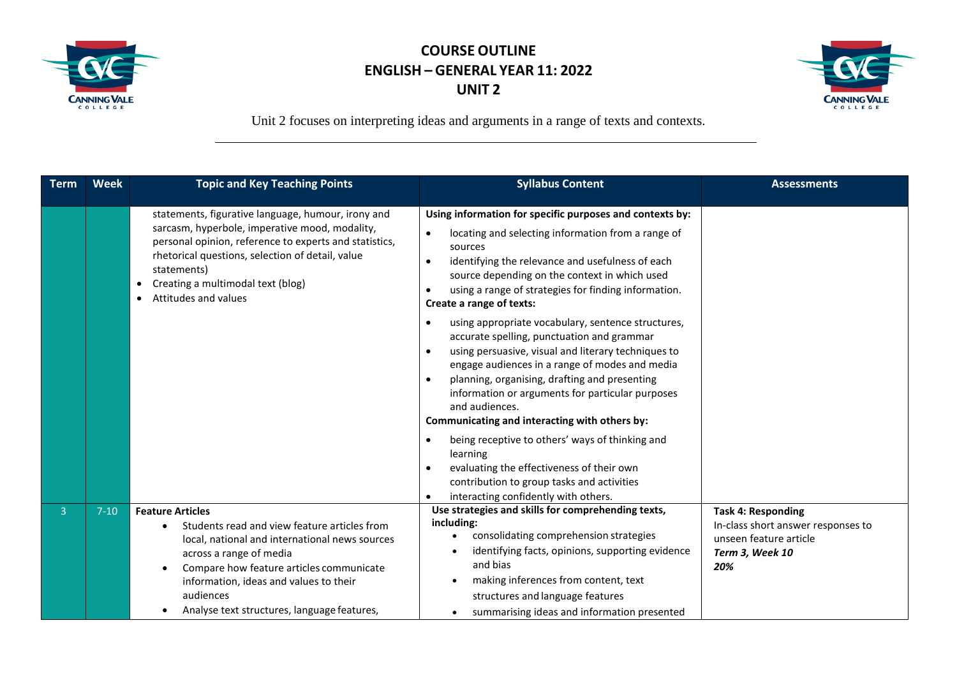



| <b>Term</b>    | <b>Week</b> | <b>Topic and Key Teaching Points</b>                                                                                                                                                                                                                                                                                     | <b>Syllabus Content</b>                                                                                                                                                                                                                                                                                                                                                                                                  | <b>Assessments</b>                                                                                                  |
|----------------|-------------|--------------------------------------------------------------------------------------------------------------------------------------------------------------------------------------------------------------------------------------------------------------------------------------------------------------------------|--------------------------------------------------------------------------------------------------------------------------------------------------------------------------------------------------------------------------------------------------------------------------------------------------------------------------------------------------------------------------------------------------------------------------|---------------------------------------------------------------------------------------------------------------------|
|                |             | statements, figurative language, humour, irony and<br>sarcasm, hyperbole, imperative mood, modality,<br>personal opinion, reference to experts and statistics,<br>rhetorical questions, selection of detail, value<br>statements)<br>Creating a multimodal text (blog)<br>$\bullet$<br>Attitudes and values<br>$\bullet$ | Using information for specific purposes and contexts by:<br>locating and selecting information from a range of<br>$\bullet$<br>sources<br>identifying the relevance and usefulness of each<br>$\bullet$<br>source depending on the context in which used<br>using a range of strategies for finding information.<br>$\bullet$<br>Create a range of texts:                                                                |                                                                                                                     |
|                |             |                                                                                                                                                                                                                                                                                                                          | using appropriate vocabulary, sentence structures,<br>$\bullet$<br>accurate spelling, punctuation and grammar<br>using persuasive, visual and literary techniques to<br>$\bullet$<br>engage audiences in a range of modes and media<br>planning, organising, drafting and presenting<br>$\bullet$<br>information or arguments for particular purposes<br>and audiences.<br>Communicating and interacting with others by: |                                                                                                                     |
|                |             |                                                                                                                                                                                                                                                                                                                          | being receptive to others' ways of thinking and<br>$\bullet$<br>learning<br>evaluating the effectiveness of their own<br>$\bullet$<br>contribution to group tasks and activities<br>interacting confidently with others.<br>$\bullet$                                                                                                                                                                                    |                                                                                                                     |
| $\overline{3}$ | $7 - 10$    | <b>Feature Articles</b><br>Students read and view feature articles from<br>local, national and international news sources<br>across a range of media<br>Compare how feature articles communicate<br>information, ideas and values to their<br>audiences<br>Analyse text structures, language features,                   | Use strategies and skills for comprehending texts,<br>including:<br>consolidating comprehension strategies<br>identifying facts, opinions, supporting evidence<br>and bias<br>making inferences from content, text<br>structures and language features<br>summarising ideas and information presented                                                                                                                    | <b>Task 4: Responding</b><br>In-class short answer responses to<br>unseen feature article<br>Term 3, Week 10<br>20% |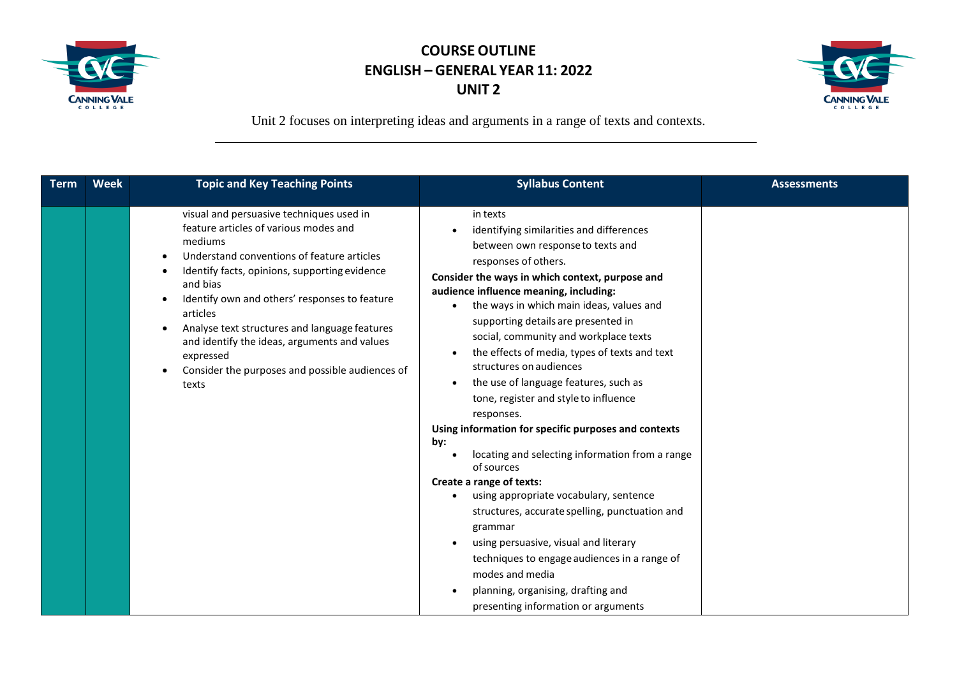



| <b>Term</b> | <b>Week</b> | <b>Topic and Key Teaching Points</b>                                                                                                                                                                                                                                                                                                                                                                                                                | <b>Syllabus Content</b>                                                                                                                                                                                                                                                                                                                                                                                                                                                                                                                                                                                                                                                                                                                                                                                                                                                                                                                                                            | <b>Assessments</b> |
|-------------|-------------|-----------------------------------------------------------------------------------------------------------------------------------------------------------------------------------------------------------------------------------------------------------------------------------------------------------------------------------------------------------------------------------------------------------------------------------------------------|------------------------------------------------------------------------------------------------------------------------------------------------------------------------------------------------------------------------------------------------------------------------------------------------------------------------------------------------------------------------------------------------------------------------------------------------------------------------------------------------------------------------------------------------------------------------------------------------------------------------------------------------------------------------------------------------------------------------------------------------------------------------------------------------------------------------------------------------------------------------------------------------------------------------------------------------------------------------------------|--------------------|
|             |             | visual and persuasive techniques used in<br>feature articles of various modes and<br>mediums<br>Understand conventions of feature articles<br>Identify facts, opinions, supporting evidence<br>and bias<br>Identify own and others' responses to feature<br>articles<br>Analyse text structures and language features<br>and identify the ideas, arguments and values<br>expressed<br>Consider the purposes and possible audiences of<br>٠<br>texts | in texts<br>identifying similarities and differences<br>between own response to texts and<br>responses of others.<br>Consider the ways in which context, purpose and<br>audience influence meaning, including:<br>the ways in which main ideas, values and<br>supporting details are presented in<br>social, community and workplace texts<br>the effects of media, types of texts and text<br>structures on audiences<br>the use of language features, such as<br>tone, register and style to influence<br>responses.<br>Using information for specific purposes and contexts<br>by:<br>locating and selecting information from a range<br>of sources<br>Create a range of texts:<br>using appropriate vocabulary, sentence<br>structures, accurate spelling, punctuation and<br>grammar<br>using persuasive, visual and literary<br>techniques to engage audiences in a range of<br>modes and media<br>planning, organising, drafting and<br>presenting information or arguments |                    |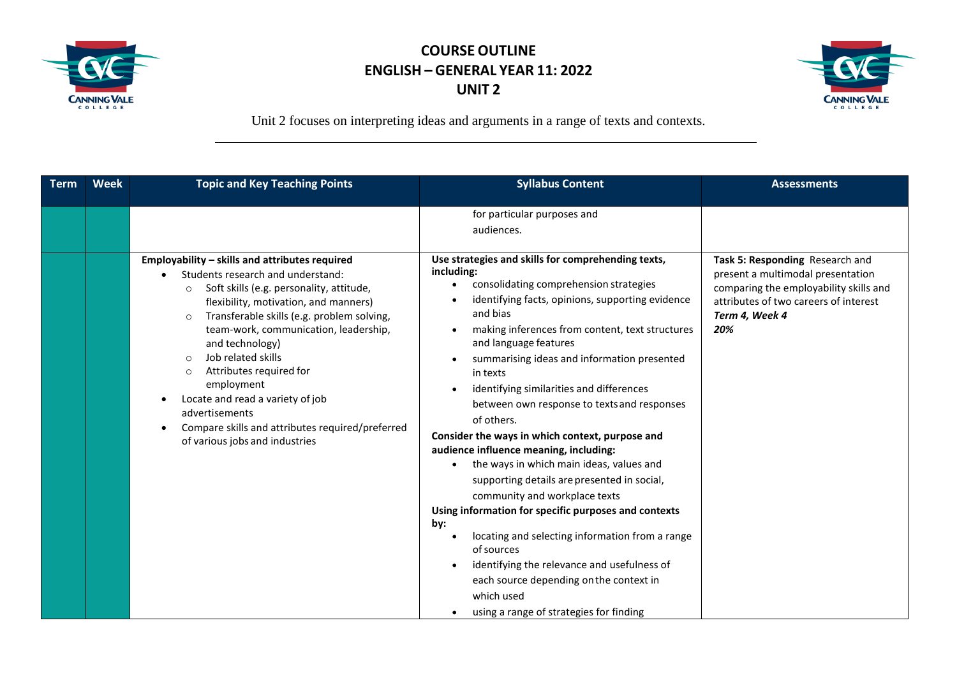



| Term | <b>Week</b> | <b>Topic and Key Teaching Points</b>                                                                                                                                                                                                                                                                                                                                                                                                                                                                                                        | <b>Syllabus Content</b>                                                                                                                                                                                                                                                                                                                                                                                                                                                                                                    | <b>Assessments</b>                                                                                                                                                               |
|------|-------------|---------------------------------------------------------------------------------------------------------------------------------------------------------------------------------------------------------------------------------------------------------------------------------------------------------------------------------------------------------------------------------------------------------------------------------------------------------------------------------------------------------------------------------------------|----------------------------------------------------------------------------------------------------------------------------------------------------------------------------------------------------------------------------------------------------------------------------------------------------------------------------------------------------------------------------------------------------------------------------------------------------------------------------------------------------------------------------|----------------------------------------------------------------------------------------------------------------------------------------------------------------------------------|
|      |             | Employability - skills and attributes required<br>Students research and understand:<br>Soft skills (e.g. personality, attitude,<br>$\circ$<br>flexibility, motivation, and manners)<br>Transferable skills (e.g. problem solving,<br>$\circ$<br>team-work, communication, leadership,<br>and technology)<br>Job related skills<br>$\Omega$<br>Attributes required for<br>$\Omega$<br>employment<br>Locate and read a variety of job<br>advertisements<br>Compare skills and attributes required/preferred<br>of various jobs and industries | for particular purposes and<br>audiences.<br>Use strategies and skills for comprehending texts,<br>including:<br>consolidating comprehension strategies<br>identifying facts, opinions, supporting evidence<br>and bias<br>making inferences from content, text structures<br>and language features<br>summarising ideas and information presented<br>in texts<br>identifying similarities and differences<br>between own response to texts and responses<br>of others.<br>Consider the ways in which context, purpose and | Task 5: Responding Research and<br>present a multimodal presentation<br>comparing the employability skills and<br>attributes of two careers of interest<br>Term 4, Week 4<br>20% |
|      |             |                                                                                                                                                                                                                                                                                                                                                                                                                                                                                                                                             | audience influence meaning, including:<br>the ways in which main ideas, values and<br>supporting details are presented in social,<br>community and workplace texts<br>Using information for specific purposes and contexts<br>by:<br>locating and selecting information from a range<br>of sources<br>identifying the relevance and usefulness of<br>each source depending on the context in<br>which used<br>using a range of strategies for finding                                                                      |                                                                                                                                                                                  |